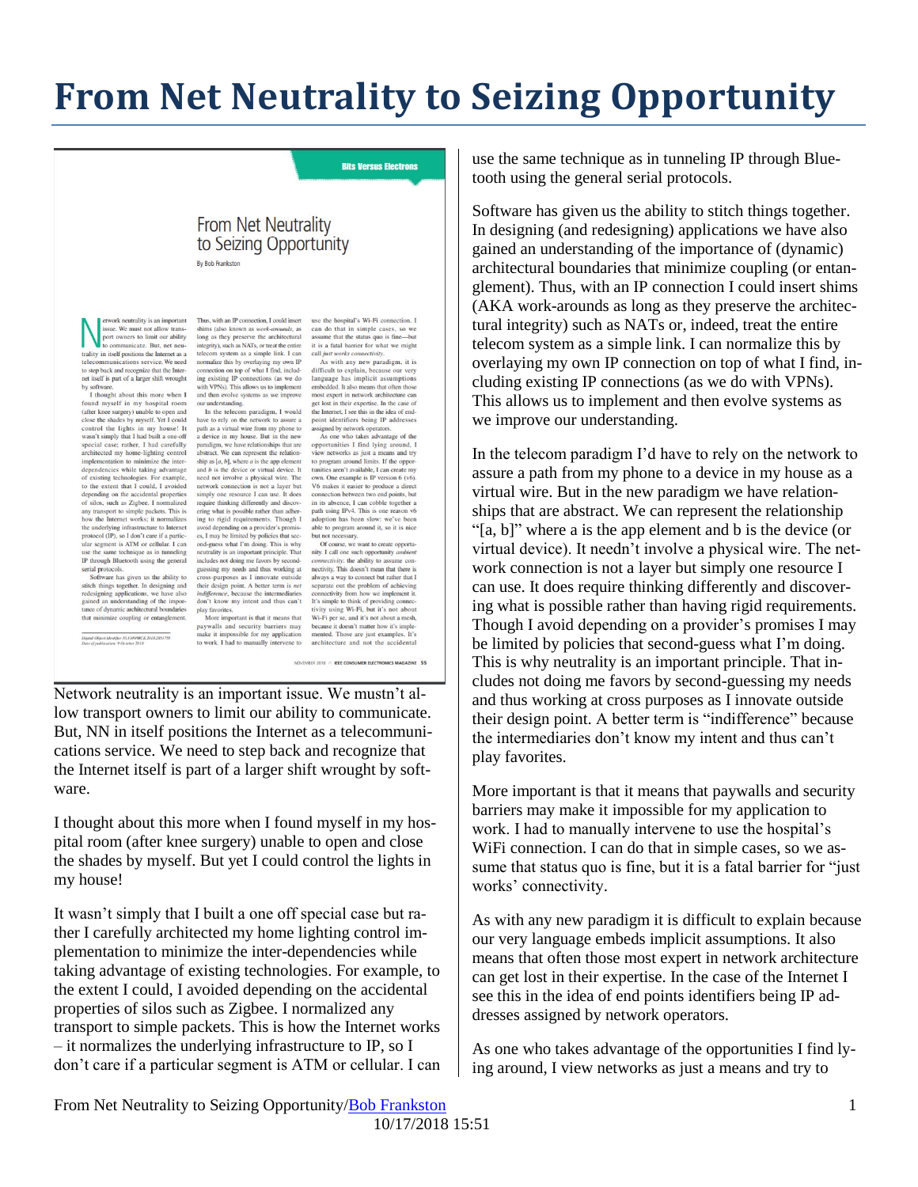## **From Net Neutrality to Seizing Opportunity**

**Bits Versus Electrons** 

## From Net Neutrality to Seizing Opportunity

By Bob Frankston

etwork neutrality is an important etwork neutrality is an important<br>issue. We must not allow trans-<br>port owners to limit our ability<br>to communicate. But, net neuo communicate. But, net neu trality in itself positions the Internet as a telecommunications service. We need to step back and recognize that the Inter-<br>net itself is part of a larger shift wrought

net iself is part of a larger shift wrought<br>by software.<br>Thought about this more when I<br>found myself in my hospital room<br>(after knee surgery) unable to open and<br>close the shades by myself. Yet I could control the lights in my house! It<br>wasn't simply that I had built a one-off special case; rather, I had carefully architected my home-lighting control implementation to minimize the interimplementation to minimize the inter-<br>dependencies while taking advantage<br>of existing technologies. For example,<br>to the extent that I could, I avoided<br>depending on the accidental properties<br>on sting, such as Zigbee. I norm any transport to simple packets. This is<br>how the Internet works; it normalizes the underlying infrastructure to Internet<br>protocol (IP), so I don't care if a particular segment is ATM or cellular. I can use the same technique as in tunneling IP through Bluetooth using the general IP through Bittecooth using the general<br>serial protocols.<br>Software has given us the ability to<br>stitch things together. In designing and<br>creations, we have also<br>gained an understanding of the impor-<br>tane of dynamic architec

-<br>Digital Object Identifier 10.1109/MCE.2018.2851758<br>Date of publication: 9 October 2018

Thus, with an IP connection, I could insert shims (also known as *work-arounds*, as<br>long as they preserve the architectural<br>integrity), such as NATs, or treat the entire telecom system as a simple link. I can normalize this by overlaying my own IP connection on top of what I find, includ-

connection on top of what I find, includ-<br>ing existing IP connections (as we do<br>with VPNs). This allows us to implement<br>and then evolve systems as we improve<br>our understanding.<br>In the telecom paradigm, I would<br>have to rely paradigm, we have relationships that are abstract. We can represent the relation-<br>ship as  $[a, b]$ , where  $a$  is the app element ship as [*a*, *b*], where *a* is the app element<br>and *b* is the device or virtual device. It<br>need not involve a physical wire. The<br>network connection is not a layer but<br>simply one resource I can use. It does<br>require think ing to rigid requirements. Though I avoid depending on a provider's promises, I may be limited by policies that second-guess what I'm doing. This is why neutrality is an important principle. That neutrality is an important principle. That<br>includes not doing me favors by second-<br>guessing my needs and thus working at<br>cross-s-purposes as 1 innovate outside<br>their design point. A better term is *net*<br>*indifference*, be

play favorites.<br>More important is that it means that that minimize coupling or entanglement. paywalls and security barriers may<br>make it impossible for my application to work. I had to manually intervene to

use the hospital's Wi-Fi connection. I can do that in simple cases, so we<br>assume that the status quo is fine—but<br>it is a fatal barrier for what we might call just works connectivity

As with any new paradigm, it is As with any new paradigm, it is<br>difficult to explain, because our very language has implicit assumptions<br>modeld. It also means that often those about more modeld. It also means that often the<br>performance model to the inter

assigned by network operators.<br>As one who takes advantage of the opportunities I find lying around, I view networks as just a means and try to program around limits. If the oppor to program around limits. If the opport<br>tunities aren't available, I can create my<br>own. One example is IP version 6 (v6).<br>V6 makes it easier to produce a direct conduction between two end points, but<br>in its absence, I can adoption has been slow: we've been able to program around it, so it is nice<br>but not necessary.

Of course, we want to create opportunity. I call one such opportunity ambient<br>connectivity: the ability to assume con*connectivity*. The ability to assume con-<br>necessivity can shall meeting always a way to connect but rather that I separate out the problem of achieving connectivity from how we implement it. It's simple to think of provi because it doesn't matter how it's implemented. Those are just examples. It's architecture and not the accidental

NOVEMBER 2018 A JEEE CONSUMER ELECTRONICS MAGAZINE 55

Network neutrality is an important issue. We mustn't allow transport owners to limit our ability to communicate. But, NN in itself positions the Internet as a telecommunications service. We need to step back and recognize that the Internet itself is part of a larger shift wrought by software.

I thought about this more when I found myself in my hospital room (after knee surgery) unable to open and close the shades by myself. But yet I could control the lights in my house!

It wasn't simply that I built a one off special case but rather I carefully architected my home lighting control implementation to minimize the inter-dependencies while taking advantage of existing technologies. For example, to the extent I could, I avoided depending on the accidental properties of silos such as Zigbee. I normalized any transport to simple packets. This is how the Internet works – it normalizes the underlying infrastructure to IP, so I don't care if a particular segment is ATM or cellular. I can

use the same technique as in tunneling IP through Bluetooth using the general serial protocols.

Software has given us the ability to stitch things together. In designing (and redesigning) applications we have also gained an understanding of the importance of (dynamic) architectural boundaries that minimize coupling (or entanglement). Thus, with an IP connection I could insert shims (AKA work-arounds as long as they preserve the architectural integrity) such as NATs or, indeed, treat the entire telecom system as a simple link. I can normalize this by overlaying my own IP connection on top of what I find, including existing IP connections (as we do with VPNs). This allows us to implement and then evolve systems as we improve our understanding.

In the telecom paradigm I'd have to rely on the network to assure a path from my phone to a device in my house as a virtual wire. But in the new paradigm we have relationships that are abstract. We can represent the relationship "[a, b]" where a is the app element and b is the device (or virtual device). It needn't involve a physical wire. The network connection is not a layer but simply one resource I can use. It does require thinking differently and discovering what is possible rather than having rigid requirements. Though I avoid depending on a provider's promises I may be limited by policies that second-guess what I'm doing. This is why neutrality is an important principle. That includes not doing me favors by second-guessing my needs and thus working at cross purposes as I innovate outside their design point. A better term is "indifference" because the intermediaries don't know my intent and thus can't play favorites.

More important is that it means that paywalls and security barriers may make it impossible for my application to work. I had to manually intervene to use the hospital's WiFi connection. I can do that in simple cases, so we assume that status quo is fine, but it is a fatal barrier for "just works' connectivity.

As with any new paradigm it is difficult to explain because our very language embeds implicit assumptions. It also means that often those most expert in network architecture can get lost in their expertise. In the case of the Internet I see this in the idea of end points identifiers being IP addresses assigned by network operators.

As one who takes advantage of the opportunities I find lying around, I view networks as just a means and try to

From Net Neutrality to Seizing Opportunity[/Bob Frankston](http://frankston.com/public) 1 10/17/2018 15:51